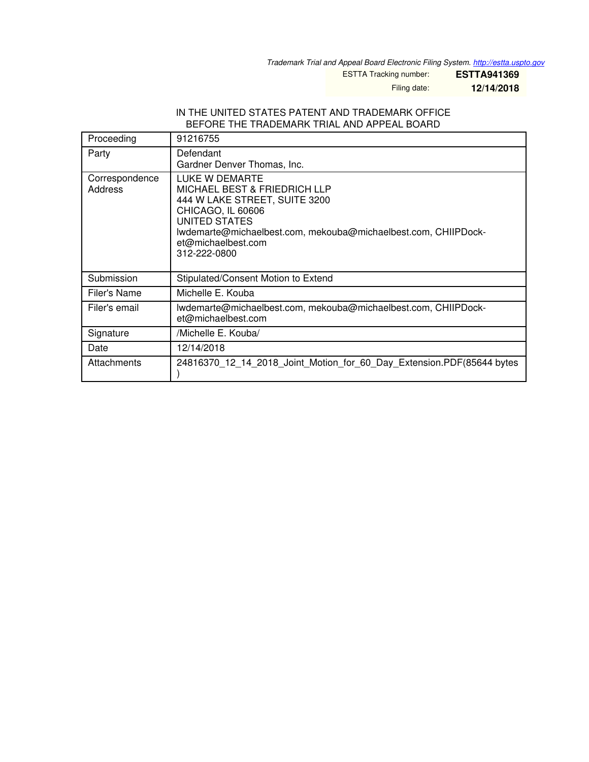*Trademark Trial and Appeal Board Electronic Filing System. <http://estta.uspto.gov>*

ESTTA Tracking number: **ESTTA941369**

Filing date: **12/14/2018**

## IN THE UNITED STATES PATENT AND TRADEMARK OFFICE BEFORE THE TRADEMARK TRIAL AND APPEAL BOARD

| Proceeding                | 91216755                                                                                                                                                                                                                                        |
|---------------------------|-------------------------------------------------------------------------------------------------------------------------------------------------------------------------------------------------------------------------------------------------|
| Party                     | Defendant<br>Gardner Denver Thomas, Inc.                                                                                                                                                                                                        |
| Correspondence<br>Address | LUKE W DEMARTE<br><b>MICHAEL BEST &amp; FRIEDRICH LLP</b><br>444 W LAKE STREET, SUITE 3200<br><b>CHICAGO, IL 60606</b><br>UNITED STATES<br>lwdemarte@michaelbest.com, mekouba@michaelbest.com, CHIIPDock-<br>et@michaelbest.com<br>312-222-0800 |
| Submission                | Stipulated/Consent Motion to Extend                                                                                                                                                                                                             |
| Filer's Name              | Michelle E. Kouba                                                                                                                                                                                                                               |
| Filer's email             | lwdemarte@michaelbest.com, mekouba@michaelbest.com, CHIIPDock-<br>et@michaelbest.com                                                                                                                                                            |
| Signature                 | /Michelle E. Kouba/                                                                                                                                                                                                                             |
| Date                      | 12/14/2018                                                                                                                                                                                                                                      |
| Attachments               | 24816370 12 14 2018 Joint Motion for 60 Day Extension.PDF(85644 bytes                                                                                                                                                                           |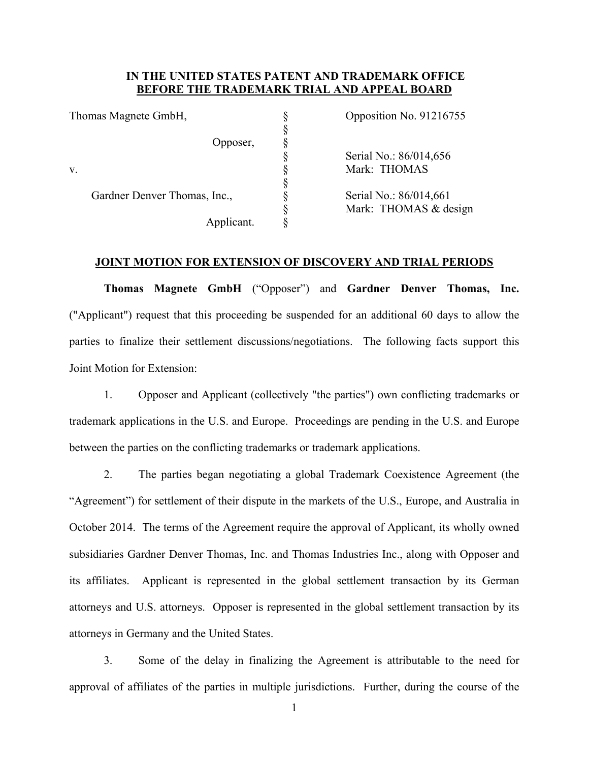## **IN THE UNITED STATES PATENT AND TRADEMARK OFFICE BEFORE THE TRADEMARK TRIAL AND APPEAL BOARD**

|    | Thomas Magnete GmbH,         | Opposition No. 91216755 |                        |
|----|------------------------------|-------------------------|------------------------|
|    |                              |                         |                        |
|    | Opposer,                     |                         |                        |
|    |                              |                         | Serial No.: 86/014,656 |
| V. |                              |                         | Mark: THOMAS           |
|    |                              |                         |                        |
|    | Gardner Denver Thomas, Inc., |                         | Serial No.: 86/014,661 |
|    |                              |                         | Mark: THOMAS & design  |
|    | Applicant.                   |                         |                        |

## **JOINT MOTION FOR EXTENSION OF DISCOVERY AND TRIAL PERIODS**

**Thomas Magnete GmbH** ("Opposer") and **Gardner Denver Thomas, Inc.** ("Applicant") request that this proceeding be suspended for an additional 60 days to allow the parties to finalize their settlement discussions/negotiations. The following facts support this Joint Motion for Extension:

1. Opposer and Applicant (collectively "the parties") own conflicting trademarks or trademark applications in the U.S. and Europe. Proceedings are pending in the U.S. and Europe between the parties on the conflicting trademarks or trademark applications.

2. The parties began negotiating a global Trademark Coexistence Agreement (the "Agreement") for settlement of their dispute in the markets of the U.S., Europe, and Australia in October 2014. The terms of the Agreement require the approval of Applicant, its wholly owned subsidiaries Gardner Denver Thomas, Inc. and Thomas Industries Inc., along with Opposer and its affiliates. Applicant is represented in the global settlement transaction by its German attorneys and U.S. attorneys. Opposer is represented in the global settlement transaction by its attorneys in Germany and the United States.

3. Some of the delay in finalizing the Agreement is attributable to the need for approval of affiliates of the parties in multiple jurisdictions. Further, during the course of the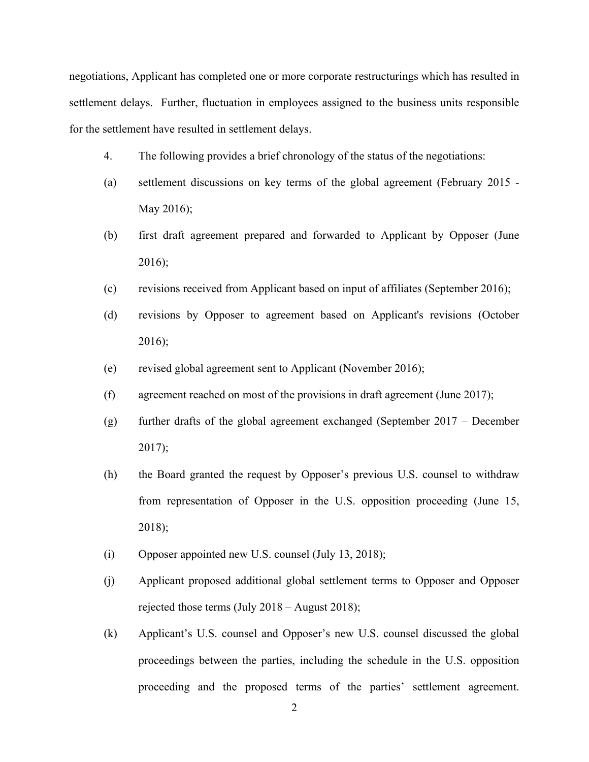negotiations, Applicant has completed one or more corporate restructurings which has resulted in settlement delays. Further, fluctuation in employees assigned to the business units responsible for the settlement have resulted in settlement delays.

- 4. The following provides a brief chronology of the status of the negotiations:
- (a) settlement discussions on key terms of the global agreement (February 2015 May 2016);
- (b) first draft agreement prepared and forwarded to Applicant by Opposer (June 2016);
- (c) revisions received from Applicant based on input of affiliates (September 2016);
- (d) revisions by Opposer to agreement based on Applicant's revisions (October 2016);
- (e) revised global agreement sent to Applicant (November 2016);
- (f) agreement reached on most of the provisions in draft agreement (June 2017);
- (g) further drafts of the global agreement exchanged (September 2017 December  $2017$ ;
- (h) the Board granted the request by Opposer's previous U.S. counsel to withdraw from representation of Opposer in the U.S. opposition proceeding (June 15, 2018);
- (i) Opposer appointed new U.S. counsel (July 13, 2018);
- (j) Applicant proposed additional global settlement terms to Opposer and Opposer rejected those terms (July 2018 – August 2018);
- (k) Applicant's U.S. counsel and Opposer's new U.S. counsel discussed the global proceedings between the parties, including the schedule in the U.S. opposition proceeding and the proposed terms of the parties' settlement agreement.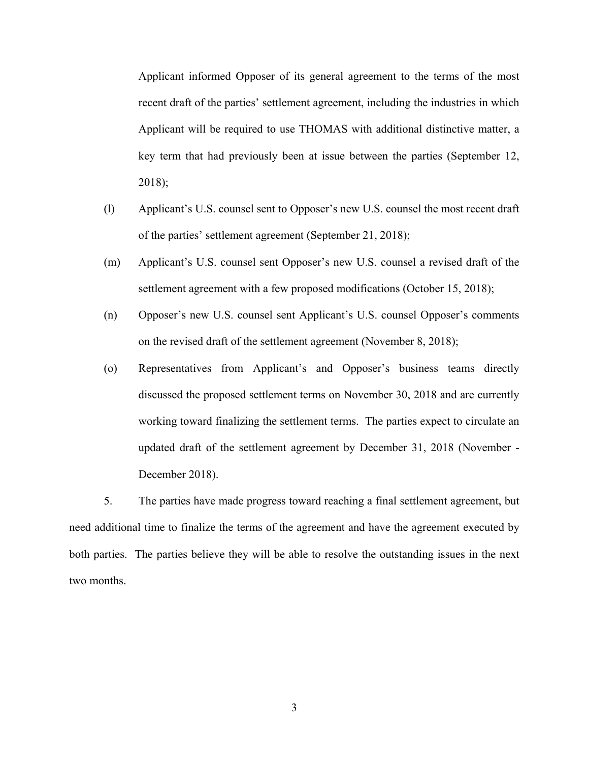Applicant informed Opposer of its general agreement to the terms of the most recent draft of the parties' settlement agreement, including the industries in which Applicant will be required to use THOMAS with additional distinctive matter, a key term that had previously been at issue between the parties (September 12, 2018);

- (l) Applicant's U.S. counsel sent to Opposer's new U.S. counsel the most recent draft of the parties' settlement agreement (September 21, 2018);
- (m) Applicant's U.S. counsel sent Opposer's new U.S. counsel a revised draft of the settlement agreement with a few proposed modifications (October 15, 2018);
- (n) Opposer's new U.S. counsel sent Applicant's U.S. counsel Opposer's comments on the revised draft of the settlement agreement (November 8, 2018);
- (o) Representatives from Applicant's and Opposer's business teams directly discussed the proposed settlement terms on November 30, 2018 and are currently working toward finalizing the settlement terms. The parties expect to circulate an updated draft of the settlement agreement by December 31, 2018 (November - December 2018).

5. The parties have made progress toward reaching a final settlement agreement, but need additional time to finalize the terms of the agreement and have the agreement executed by both parties. The parties believe they will be able to resolve the outstanding issues in the next two months.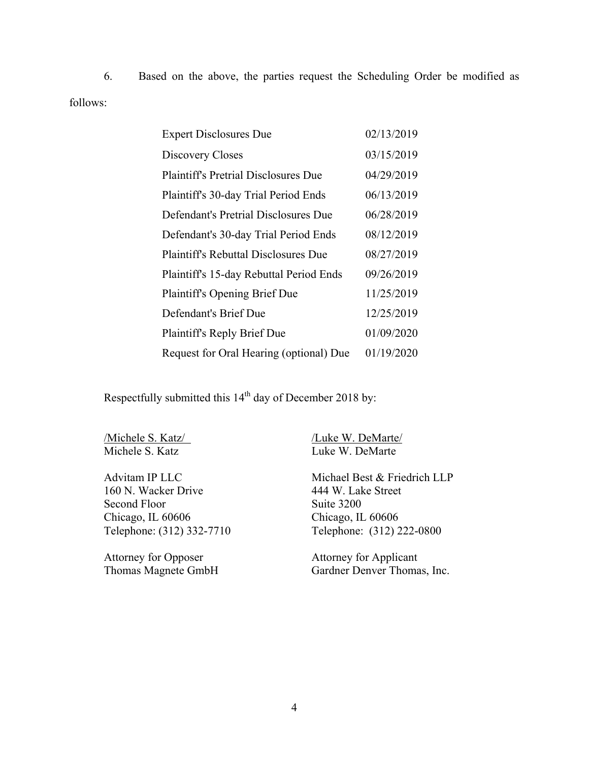6. Based on the above, the parties request the Scheduling Order be modified as follows:

| <b>Expert Disclosures Due</b>               | 02/13/2019 |
|---------------------------------------------|------------|
| Discovery Closes                            | 03/15/2019 |
| <b>Plaintiff's Pretrial Disclosures Due</b> | 04/29/2019 |
| Plaintiff's 30-day Trial Period Ends        | 06/13/2019 |
| Defendant's Pretrial Disclosures Due        | 06/28/2019 |
| Defendant's 30-day Trial Period Ends        | 08/12/2019 |
| <b>Plaintiff's Rebuttal Disclosures Due</b> | 08/27/2019 |
| Plaintiff's 15-day Rebuttal Period Ends     | 09/26/2019 |
| <b>Plaintiff's Opening Brief Due</b>        | 11/25/2019 |
| Defendant's Brief Due                       | 12/25/2019 |
| <b>Plaintiff's Reply Brief Due</b>          | 01/09/2020 |
| Request for Oral Hearing (optional) Due     | 01/19/2020 |

Respectfully submitted this 14<sup>th</sup> day of December 2018 by:

160 N. Wacker Drive 444 W. Lake Street Second Floor Suite 3200 Telephone: (312) 332-7710

Attorney for Opposer<br>
Thomas Magnete GmbH<br>
Gardner Denver Thomas

Michele S. Katz/<br>Michele S. Katz<br>Luke W. DeMarte Luke W. DeMarte

Advitam IP LLC Michael Best & Friedrich LLP Chicago, IL 60606<br>
Telephone: (312) 332-7710<br>
Telephone: (312) 222-0800

Gardner Denver Thomas, Inc.